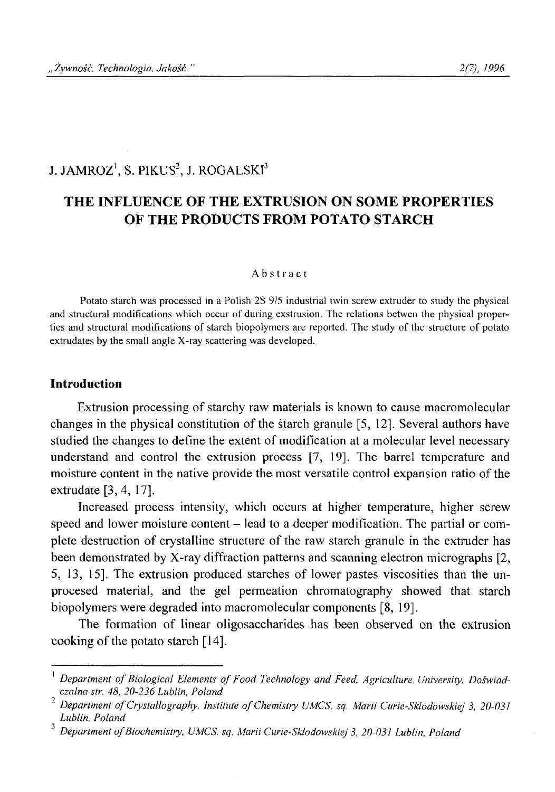# J. JAMROZ<sup>1</sup>, S. PIKUS<sup>2</sup>, J. ROGALSKI<sup>3</sup>

# **THE INFLUENCE OF THE EXTRUSION ON SOME PROPERTIES OF THE PRODUCTS FROM POTATO STARCH**

#### Abstract

**Potato starch was processed in a Polish 2S 9/5 industrial twin screw extruder to study the physical and structural modifications which occur of during exstrusion. The relations betwen the physical properties and structural modifications of starch biopolymers are reported. The study of the structure of potato extrudates by the small angle X-ray scattering was developed.**

## **Introduction**

Extrusion processing of starchy raw materials is known to cause macromolecular changes in the physical constitution of the starch granule [5, 12]. Several authors have studied the changes to define the extent of modification at a molecular level necessary understand and control the extrusion process [7, 19]. The barrel temperature and moisture content in the native provide the most versatile control expansion ratio of the extrudate [3, 4, 17].

Increased process intensity, which occurs at higher temperature, higher screw speed and lower moisture content – lead to a deeper modification. The partial or complete destruction of crystalline structure of the raw starch granule in the extruder has been demonstrated by X-ray diffraction patterns and scanning electron micrographs [2, 5, 13, 15]. The extrusion produced starches of lower pastes viscosities than the unprocesed material, and the gel permeation chromatography showed that starch biopolymers were degraded into macromolecular components [8, 19],

The formation of linear oligosaccharides has been observed on the extrusion cooking of the potato starch [14].

Department of Biological Elements of Food Technology and Feed, Agriculture University, Doświad*czalna str. 48, 20-236 Lublin, Poland <sup>2</sup>*

<sup>&</sup>lt;sup>2</sup> Department of Crystallography, Institute of Chemistry UMCS, sq. Marii Curie-Sklodowskiej 3, 20-031 *Lublin, Poland*

<sup>&</sup>lt;sup>3</sup> Department of Biochemistry, UMCS, sq. Marii Curie-Skłodowskiej 3, 20-031 Lublin, Polana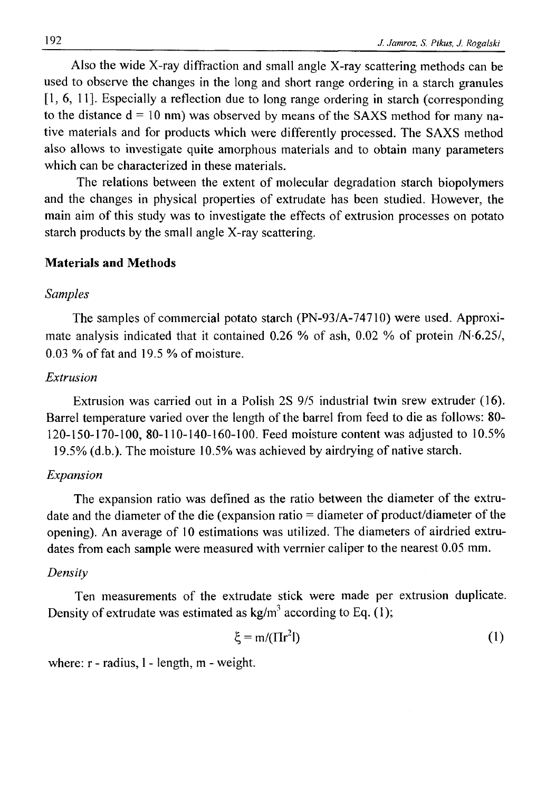Also the wide X-ray diffraction and small angle X-ray scattering methods can be used to observe the changes in the long and short range ordering in a starch granules [1, 6, 11]. Especially a reflection due to long range ordering in starch (corresponding to the distance  $d = 10$  nm) was observed by means of the SAXS method for many native materials and for products which were differently processed. The SAXS method also allows to investigate quite amorphous materials and to obtain many parameters which can be characterized in these materials.

The relations between the extent of molecular degradation starch biopolymers and the changes in physical properties of extrudate has been studied. However, the main aim of this study was to investigate the effects of extrusion processes on potato starch products by the small angle X-ray scattering.

# **Materials and Methods**

# *Samples*

The samples of commercial potato starch (PN-93/A-74710) were used. Approximate analysis indicated that it contained 0.26 % of ash, 0.02 % of protein /N-6.25/, 0.03 % of fat and 19.5 % of moisture.

#### *Extrusion*

Extrusion was carried out in a Polish 2S 9/5 industrial twin srew extruder (16). Barrel temperature varied over the length of the barrel from feed to die as follows: 80- 120-150-170-100, 80-110-140-160-100. Feed moisture content was adjusted to 10.5% 19.5% (d.b.). The moisture 10.5% was achieved by airdrying of native starch.

## *Expansion*

The expansion ratio was defined as the ratio between the diameter of the extrudate and the diameter of the die (expansion ratio = diameter of product/diameter of the opening). An average of 10 estimations was utilized. The diameters of airdried extrudates from each sample were measured with verrnier caliper to the nearest 0.05 mm.

## *Density*

Ten measurements of the extrudate stick were made per extrusion duplicate. Density of extrudate was estimated as  $kg/m<sup>3</sup>$  according to Eq. (1);

$$
\xi = m/(\Pi r^2 I) \tag{1}
$$

where: r - radius, 1 - length, m - weight.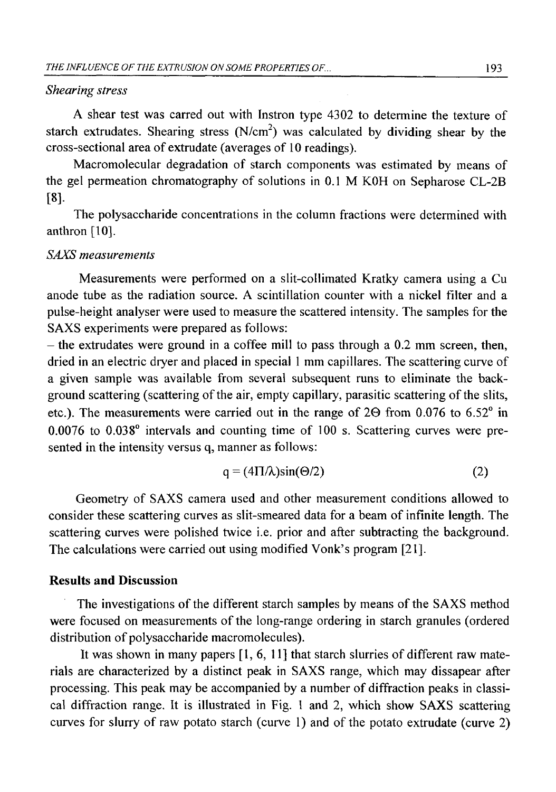## *Shearing stress*

A shear test was carred out with Instron type 4302 to determine the texture of starch extrudates. Shearing stress  $(N/cm<sup>2</sup>)$  was calculated by dividing shear by the cross-sectional area of extrudate (averages of 10 readings).

Macromolecular degradation of starch components was estimated by means of the gel permeation chromatography of solutions in 0.1 M KOH on Sepharose CL-2B [**8**].

The polysaccharide concentrations in the column fractions were determined with anthron [10].

# *SAXS measurements*

Measurements were performed on a slit-collimated Kratky camera using a Cu anode tube as the radiation source. A scintillation counter with a nickel filter and a pulse-height analyser were used to measure the scattered intensity. The samples for the SAXS experiments were prepared as follows:

 $-$  the extrudates were ground in a coffee mill to pass through a 0.2 mm screen, then, dried in an electric dryer and placed in special 1 mm capillares. The scattering curve of a given sample was available from several subsequent runs to eliminate the background scattering (scattering of the air, empty capillary, parasitic scattering of the slits, etc.). The measurements were carried out in the range of  $2\Theta$  from 0.076 to 6.52 $^{\circ}$  in 0.0076 to 0.038° intervals and counting time of 100 s. Scattering curves were presented in the intensity versus q, manner as follows:

$$
q = (4\Pi/\lambda)\sin(\Theta/2) \tag{2}
$$

Geometry of SAXS camera used and other measurement conditions allowed to consider these scattering curves as slit-smeared data for a beam of infinite length. The scattering curves were polished twice i.e. prior and after subtracting the background. The calculations were carried out using modified Vonk's program [21].

# **Results and Discussion**

The investigations of the different starch samples by means of the SAXS method were focused on measurements of the long-range ordering in starch granules (ordered distribution of polysaccharide macromolecules).

It was shown in many papers [1, 6, 11] that starch slurries of different raw materials are characterized by a distinct peak in SAXS range, which may dissapear after processing. This peak may be accompanied by a number of diffraction peaks in classical diffraction range. It is illustrated in Fig. 1 and 2, which show SAXS scattering curves for slurry of raw potato starch (curve 1) and of the potato extrudate (curve 2)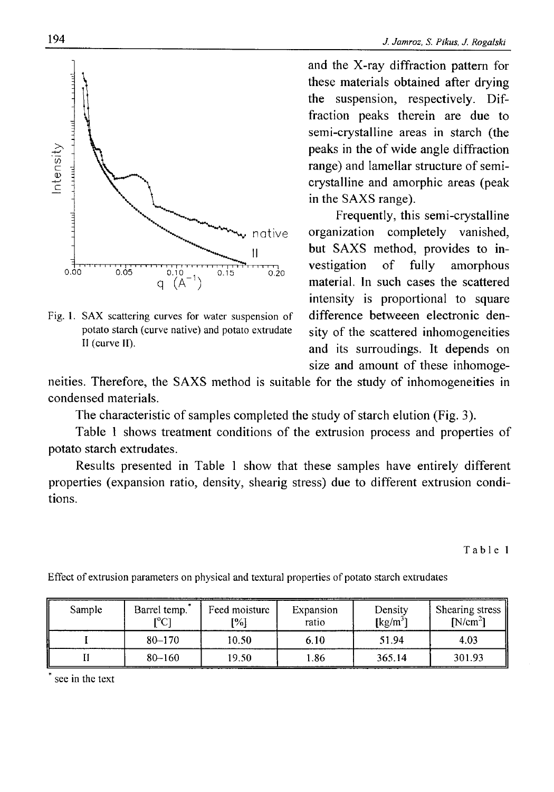

potato starch (curve native) and potato extrudate sity of the scattered inhomogeneities

and the X-ray diffraction pattern for these materials obtained after drying the suspension, respectively. Diffraction peaks therein are due to semi-crystalline areas in starch (the peaks in the of wide angle diffraction range) and lamellar structure of semicrystalline and amorphic areas (peak in the SAXS range).

Frequently, this semi-crystalline organization completely vanished, but SAXS method, provides to investigation of fully amorphous material. In such cases the scattered intensity is proportional to square Fig. 1. SAX scattering curves for water suspension of difference betweeen electronic den-II (curve II). **and** its surroudings. It depends on size and amount of these inhomoge-

neities. Therefore, the SAXS method is suitable for the study of inhomogeneities in condensed materials.

The characteristic of samples completed the study of starch elution (Fig. 3).

Table 1 shows treatment conditions of the extrusion process and properties of potato starch extrudates.

Results presented in Table 1 show that these samples have entirely different properties (expansion ratio, density, shearig stress) due to different extrusion conditions.

**Table 1**

| Sample | Barrel temp.<br>r°C1 | Feed moisture<br>[%] | Expansion<br>ratio | Density<br>$\left[\mathrm{kg/m}^3\right]$ | Shearing stress<br>$[N/cm^2]$ |
|--------|----------------------|----------------------|--------------------|-------------------------------------------|-------------------------------|
|        | $80 - 170$           | 10.50                | 6.10               | 51.94                                     | 4.03                          |
|        | $80 - 160$           | 19.50                | 1.86               | 365.14                                    | 301.93                        |

**Effect of extrusion parameters on physical and textural properties of potato starch extrudates**

**\* see in the text**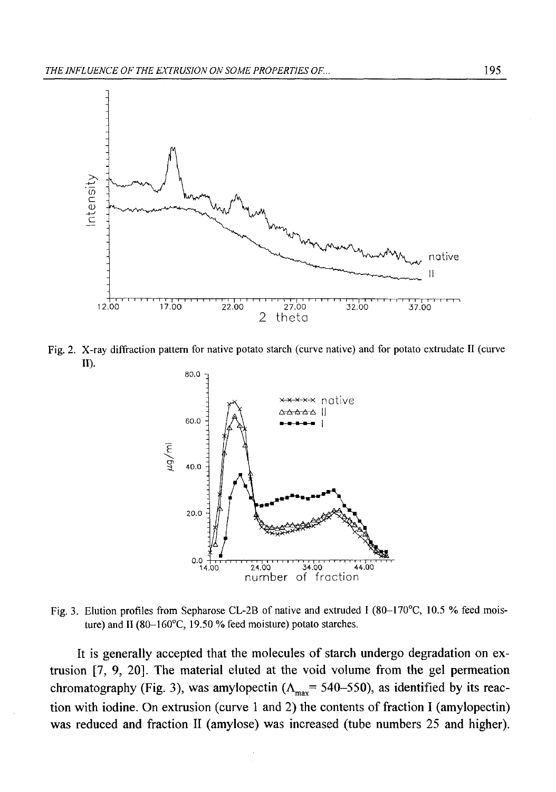

**Fig. 2. X-ray diffraction pattern for native potato starch (curve native) and for potato extrudate II (curve II).**



Fig. 3. Elution profiles from Sepharose CL-2B of native and extruded I (80-170°C, 10.5 % feed mois**ture) and II (80-160°C, 19.50 % feed moisture) potato starches.**

It is generally accepted that the molecules of starch undergo degradation on extrusion [7, 9, 20]. The material eluted at the void volume from the gel permeation chromatography (Fig. 3), was amylopectin ( $\Lambda_{\text{max}}$ = 540–550), as identified by its reaction with iodine. On extrusion (curve 1 and 2) the contents of fraction I (amylopectin) was reduced and fraction II (amylose) was increased (tube numbers 25 and higher).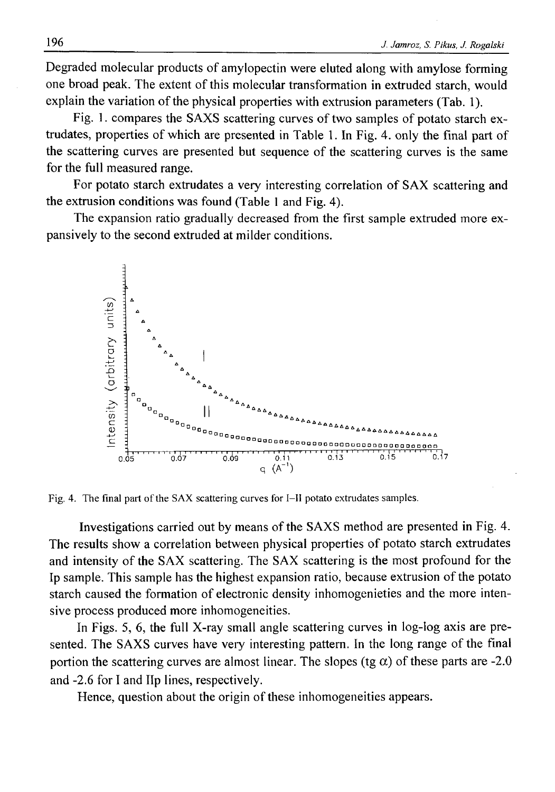Degraded molecular products of amylopectin were eluted along with amylose forming one broad peak. The extent of this molecular transformation in extruded starch, would explain the variation of the physical properties with extrusion parameters (Tab. 1).

Fig. 1. compares the SAXS scattering curves of two samples of potato starch extrudates, properties of which are presented in Table 1. In Fig. 4. only the final part of the scattering curves are presented but sequence of the scattering curves is the same for the full measured range.

For potato starch extrudates a very interesting correlation of SAX scattering and the extrusion conditions was found (Table 1 and Fig. 4).

The expansion ratio gradually decreased from the first sample extruded more expansively to the second extruded at milder conditions.



**Fig. 4. The final part of the SAX scattering curves for I—II potato extrudates samples.**

Investigations carried out by means of the SAXS method are presented in Fig. 4. The results show a correlation between physical properties of potato starch extrudates and intensity of the SAX scattering. The SAX scattering is the most profound for the Ip sample. This sample has the highest expansion ratio, because extrusion of the potato starch caused the formation of electronic density inhomogenieties and the more intensive process produced more inhomogeneities.

In Figs. 5, 6, the full X-ray small angle scattering curves in log-log axis are presented. The SAXS curves have very interesting pattern. In the long range of the final portion the scattering curves are almost linear. The slopes (tg  $\alpha$ ) of these parts are -2.0 and -2.6 for I and Up lines, respectively.

Hence, question about the origin of these inhomogeneities appears.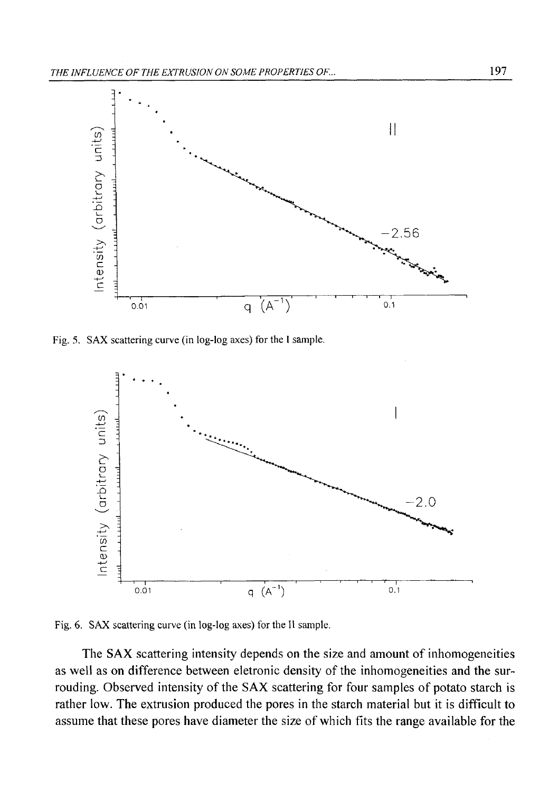

**Fig. 5. SAX scattering curve (in log-log axes) for the I sample.**



**Fig. 6. SAX scattering curve (in log-log axes) for the II sample.**

The SAX scattering intensity depends on the size and amount of inhomogeneities as well as on difference between eletronic density of the inhomogeneities and the surrouding. Observed intensity of the SAX scattering for four samples of potato starch is rather low. The extrusion produced the pores in the starch material but it is difficult to assume that these pores have diameter the size of which fits the range available for the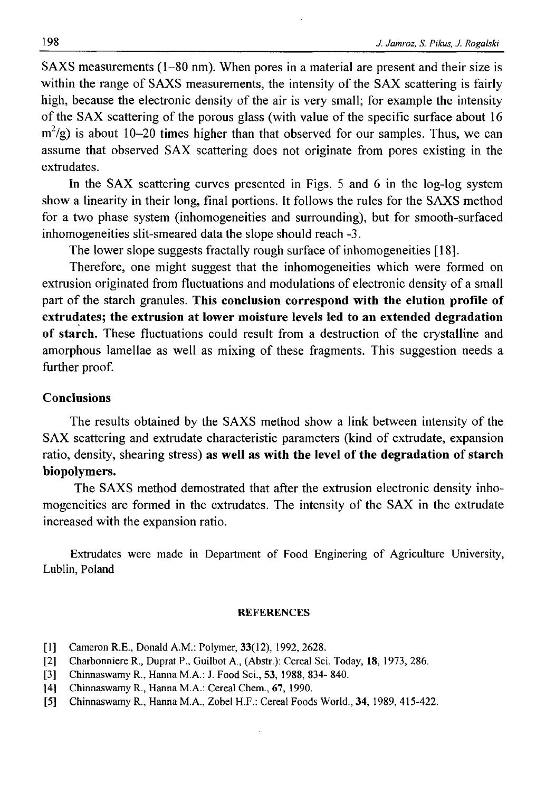SAXS measurements (1-80 nm). When pores in a material are present and their size is within the range of SAXS measurements, the intensity of the SAX scattering is fairly high, because the electronic density of the air is very small; for example the intensity of the SAX scattering of the porous glass (with value of the specific surface about 16  $m^2/g$ ) is about 10-20 times higher than that observed for our samples. Thus, we can assume that observed SAX scattering does not originate from pores existing in the extrudates.

In the SAX scattering curves presented in Figs. 5 and 6 in the log-log system show a linearity in their long, final portions. It follows the rules for the SAXS method for a two phase system (inhomogeneities and surrounding), but for smooth-surfaced inhomogeneities slit-smeared data the slope should reach -3.

The lower slope suggests fractally rough surface of inhomogeneities [18].

Therefore, one might suggest that the inhomogeneities which were formed on extrusion originated from fluctuations and modulations of electronic density of a small part of the starch granules. **This conclusion correspond with the elution profile of extrudates; the extrusion at lower moisture levels led to an extended degradation of starch.** These fluctuations could result from a destruction of the crystalline and amorphous lamellae as well as mixing of these fragments. This suggestion needs a further proof.

## **Conclusions**

The results obtained by the SAXS method show a link between intensity of the SAX scattering and extrudate characteristic parameters (kind of extrudate, expansion ratio, density, shearing stress) **as well as with the level of the degradation of starch biopolymers.**

The SAXS method demostrated that after the extrusion electronic density inhomogeneities are formed in the extrudates. The intensity of the SAX in the extrudate increased with the expansion ratio.

Extrudates were made in Department of Food Enginering of Agriculture University, Lublin, Poland

#### **REFERENCES**

- **[1] Cameron R.E., Donald A.M.: Polymer, 33(12), 1992, 2628.**
- **[2] Charbonniere R., Duprat P., Guilbot A., (Abstr.): Cereal Sci. Today, 18, 1973, 286.**
- **[3] Chinnaswamy R., Hanna M.A.: J. Food Sci., 53, 1988, 834- 840.**
- **[4] Chinnaswamy R., Hanna M.A.: Cereal Chem., 67, 1990.**
- **[5] Chinnaswamy R., Hanna M.A., Zobel H.F.: Cereal Foods World., 34, 1989, 415-422.**